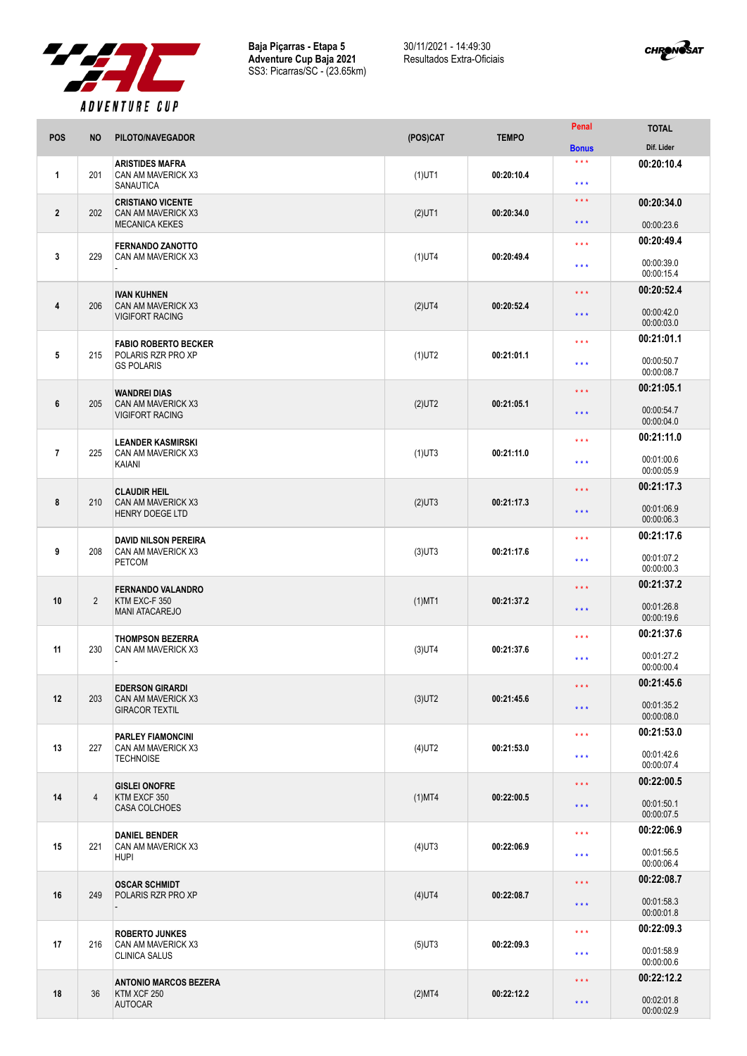

**Baja Piçarras - Etapa 5 Adventure Cup Baja 2021** SS3: Picarras/SC - (23.65km) 30/11/2021 - 14:49:30 Resultados Extra-Oficiais



|                |                | . <i>.</i>                                                       |           |              | Penal                                      | <b>TOTAL</b>             |
|----------------|----------------|------------------------------------------------------------------|-----------|--------------|--------------------------------------------|--------------------------|
| <b>POS</b>     | <b>NO</b>      | PILOTO/NAVEGADOR                                                 | (POS)CAT  | <b>TEMPO</b> | <b>Bonus</b>                               | Dif. Lider               |
| 1              | 201            | <b>ARISTIDES MAFRA</b><br>CAN AM MAVERICK X3<br><b>SANAUTICA</b> | $(1)$ UT1 | 00:20:10.4   | $\star \star \star$<br>$\star \star \star$ | 00:20:10.4               |
| $\mathbf{2}$   | 202            | <b>CRISTIANO VICENTE</b><br>CAN AM MAVERICK X3                   |           | 00:20:34.0   | $\star \star \star$                        | 00:20:34.0               |
|                |                | <b>MECANICA KEKES</b>                                            | $(2)$ UT1 |              | * * *                                      | 00:00:23.6               |
|                |                | <b>FERNANDO ZANOTTO</b>                                          |           |              | $\star$ $\star$ $\star$                    | 00:20:49.4               |
| 3              | 229            | CAN AM MAVERICK X3                                               | $(1)$ UT4 | 00:20:49.4   | $\star \star \star$                        | 00:00:39.0<br>00:00:15.4 |
|                |                | <b>IVAN KUHNEN</b>                                               |           |              | $\star \star \star$                        | 00:20:52.4               |
| 4              | 206            | CAN AM MAVERICK X3<br><b>VIGIFORT RACING</b>                     | $(2)$ UT4 | 00:20:52.4   | $\star \star \star$                        | 00:00:42.0<br>00:00:03.0 |
|                |                | <b>FABIO ROBERTO BECKER</b>                                      |           |              | * * *                                      | 00:21:01.1               |
| 5              | 215            | POLARIS RZR PRO XP<br><b>GS POLARIS</b>                          | $(1)$ UT2 | 00:21:01.1   | ***                                        | 00:00:50.7<br>00:00:08.7 |
|                |                | <b>WANDREI DIAS</b>                                              |           |              | $\star \star \star$                        | 00:21:05.1               |
| 6              | 205            | CAN AM MAVERICK X3<br><b>VIGIFORT RACING</b>                     | $(2)$ UT2 | 00:21:05.1   | $\star\star\star$                          | 00:00:54.7<br>00:00:04.0 |
|                |                | <b>LEANDER KASMIRSKI</b>                                         |           |              | $\star$ $\star$ $\star$                    | 00:21:11.0               |
| $\overline{1}$ | 225            | CAN AM MAVERICK X3<br>KAIANI                                     | $(1)$ UT3 | 00:21:11.0   | $\star \star \star$                        | 00:01:00.6<br>00:00:05.9 |
|                |                | <b>CLAUDIR HEIL</b>                                              |           |              | $\star \star \star$                        | 00:21:17.3               |
| 8              | 210            | CAN AM MAVERICK X3<br><b>HENRY DOEGE LTD</b>                     | $(2)$ UT3 | 00:21:17.3   | * * *                                      | 00:01:06.9<br>00:00:06.3 |
|                |                | <b>DAVID NILSON PEREIRA</b>                                      |           |              | $\star \star \star$                        | 00:21:17.6               |
| 9              | 208            | CAN AM MAVERICK X3<br><b>PETCOM</b>                              | $(3)$ UT3 | 00:21:17.6   | $\star \star \star$                        | 00:01:07.2<br>00:00:00.3 |
|                |                | <b>FERNANDO VALANDRO</b>                                         |           | 00:21:37.2   | $\star \star \star$                        | 00:21:37.2               |
| 10             | $\overline{2}$ | KTM EXC-F 350<br><b>MANI ATACAREJO</b>                           | $(1)$ MT1 |              | $\star \star \star$                        | 00:01:26.8<br>00:00:19.6 |
|                |                | <b>THOMPSON BEZERRA</b>                                          |           |              | $\star \star \star$                        | 00:21:37.6               |
| 11             | 230            | CAN AM MAVERICK X3                                               | $(3)$ UT4 | 00:21:37.6   | $***$                                      | 00:01:27.2<br>00:00:00.4 |
|                |                | <b>EDERSON GIRARDI</b>                                           |           |              | $\star$ $\star$ $\star$                    | 00:21:45.6               |
| 12             | 203            | CAN AM MAVERICK X3<br><b>GIRACOR TEXTIL</b>                      | $(3)$ UT2 | 00:21:45.6   | $\star$ $\star$ $\star$                    | 00:01:35.2<br>00:00:08.0 |
|                |                | <b>PARLEY FIAMONCINI</b>                                         |           | 00:21:53.0   | $\star \star \star$                        | 00:21:53.0               |
| 13             | 227            | CAN AM MAVERICK X3<br><b>TECHNOISE</b>                           | $(4)$ UT2 |              | $\star \star \star$                        | 00:01:42.6<br>00:00:07.4 |
|                |                | <b>GISLEI ONOFRE</b>                                             |           |              | $\star$ $\star$ $\star$                    | 00:22:00.5               |
| 14             | $\overline{4}$ | KTM EXCF 350<br><b>CASA COLCHOES</b>                             | $(1)$ MT4 | 00:22:00.5   | $\star\star\star$                          | 00:01:50.1<br>00:00:07.5 |
|                |                | <b>DANIEL BENDER</b>                                             |           |              | $***$                                      | 00:22:06.9               |
| 15             | 221            | CAN AM MAVERICK X3<br><b>HUPI</b>                                | $(4)$ UT3 | 00:22:06.9   | $\star \star \star$                        | 00:01:56.5<br>00:00:06.4 |
|                |                | <b>OSCAR SCHMIDT</b>                                             |           | 00:22:08.7   | $\star$ $\star$ $\star$                    | 00:22:08.7               |
| 16             | 249            | POLARIS RZR PRO XP                                               | $(4)$ UT4 |              | $\star \star \star$                        | 00:01:58.3<br>00:00:01.8 |
|                |                | <b>ROBERTO JUNKES</b>                                            |           |              | $\star$ $\star$ $\star$                    | 00:22:09.3               |
| 17             | 216            | CAN AM MAVERICK X3<br><b>CLINICA SALUS</b>                       | $(5)$ UT3 | 00:22:09.3   | $\star \star \star$                        | 00:01:58.9<br>00:00:00.6 |
|                |                | <b>ANTONIO MARCOS BEZERA</b>                                     | (2)MT4    | 00:22:12.2   | $\star\star\star$                          | 00:22:12.2               |
| 18             | 36             | KTM XCF 250<br><b>AUTOCAR</b>                                    |           |              | $\star$ $\star$ $\star$                    | 00:02:01.8<br>00:00:02.9 |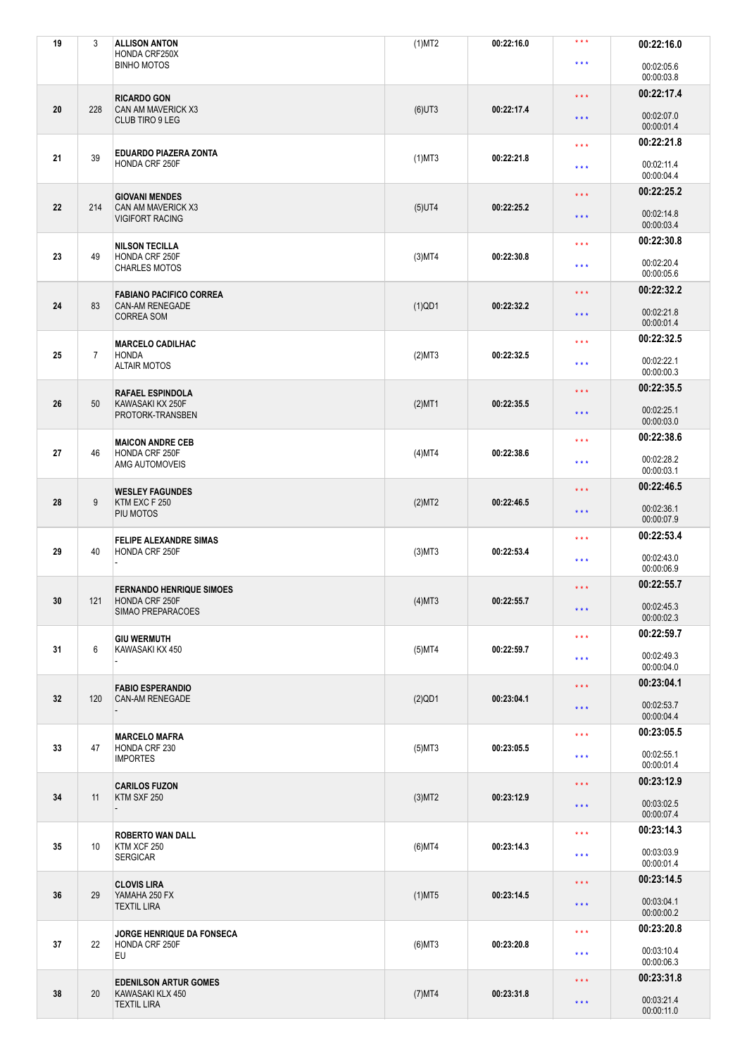| 19 | 3              | <b>ALLISON ANTON</b><br>HONDA CRF250X             | (1)MT2       | 00:22:16.0 | $***$                   | 00:22:16.0               |
|----|----------------|---------------------------------------------------|--------------|------------|-------------------------|--------------------------|
|    |                | <b>BINHO MOTOS</b>                                |              |            | $***$                   | 00:02:05.6<br>00:00:03.8 |
|    |                | <b>RICARDO GON</b>                                |              |            | $\star \star \star$     | 00:22:17.4               |
| 20 | 228            | <b>CAN AM MAVERICK X3</b><br>CLUB TIRO 9 LEG      | $(6)$ UT3    | 00:22:17.4 | $\star\star\star$       | 00:02:07.0<br>00:00:01.4 |
|    |                | EDUARDO PIAZERA ZONTA                             |              |            | $\star \star \star$     | 00:22:21.8               |
| 21 | 39             | HONDA CRF 250F                                    | $(1)$ MT3    | 00:22:21.8 | $\star \star \star$     | 00:02:11.4<br>00:00:04.4 |
|    |                | <b>GIOVANI MENDES</b>                             |              |            | $\star \star \star$     | 00:22:25.2               |
| 22 | 214            | CAN AM MAVERICK X3<br><b>VIGIFORT RACING</b>      | $(5)$ UT4    | 00:22:25.2 | $\star \star \star$     | 00:02:14.8<br>00:00:03.4 |
|    |                | <b>NILSON TECILLA</b>                             |              |            | $\star \star \star$     | 00:22:30.8               |
| 23 | 49             | HONDA CRF 250F<br><b>CHARLES MOTOS</b>            | $(3)$ MT4    | 00:22:30.8 | $\star \star \star$     | 00:02:20.4<br>00:00:05.6 |
|    |                | <b>FABIANO PACIFICO CORREA</b>                    |              |            | $\star \star \star$     | 00:22:32.2               |
| 24 | 83             | CAN-AM RENEGADE<br><b>CORREA SOM</b>              | $(1)$ QD1    | 00:22:32.2 | $\star\star\star$       | 00:02:21.8<br>00:00:01.4 |
|    |                | <b>MARCELO CADILHAC</b>                           |              |            | $\star \star \star$     | 00:22:32.5               |
| 25 | $\overline{7}$ | <b>HONDA</b><br><b>ALTAIR MOTOS</b>               | (2)MT3       | 00:22:32.5 | $\star \star \star$     | 00:02:22.1<br>00:00:00.3 |
|    |                | <b>RAFAEL ESPINDOLA</b>                           |              |            | $\star \star \star$     | 00:22:35.5               |
| 26 | 50             | KAWASAKI KX 250F<br>PROTORK-TRANSBEN              | $(2)$ MT1    | 00:22:35.5 | $***$                   | 00:02:25.1<br>00:00:03.0 |
|    |                | <b>MAICON ANDRE CEB</b>                           |              |            | $***$                   | 00:22:38.6               |
| 27 | 46             | HONDA CRF 250F<br>AMG AUTOMOVEIS                  | (4)MT4       | 00:22:38.6 | $***$                   | 00:02:28.2<br>00:00:03.1 |
|    |                | <b>WESLEY FAGUNDES</b>                            |              |            | $***$                   | 00:22:46.5               |
| 28 | 9              | KTM EXC F 250<br>PIU MOTOS                        | (2)MT2       | 00:22:46.5 | $\star \star \star$     | 00:02:36.1<br>00:00:07.9 |
|    |                | <b>FELIPE ALEXANDRE SIMAS</b>                     |              |            | $\star \star \star$     | 00:22:53.4               |
| 29 | 40             | HONDA CRF 250F                                    | $(3)$ MT $3$ | 00:22:53.4 | $\star \star \star$     | 00:02:43.0<br>00:00:06.9 |
|    |                | <b>FERNANDO HENRIQUE SIMOES</b>                   |              |            | $***$                   | 00:22:55.7               |
| 30 | 121            | HONDA CRF 250F<br>SIMAO PREPARACOES               | $(4)$ MT3    | 00:22:55.7 | $\star \star \star$     | 00:02:45.3<br>00:00:02.3 |
|    |                | <b>GIU WERMUTH</b>                                |              |            | $\star \star \star$     | 00:22:59.7               |
| 31 | 6              | KAWASAKI KX 450                                   | $(5)$ MT4    | 00:22:59.7 | $***$                   | 00:02:49.3               |
|    |                |                                                   |              |            |                         | 00:00:04.0               |
| 32 | 120            | <b>FABIO ESPERANDIO</b><br><b>CAN-AM RENEGADE</b> | $(2)$ QD1    | 00:23:04.1 | $\star \star \star$     | 00:23:04.1               |
|    |                |                                                   |              |            | $\star\star\star$       | 00:02:53.7<br>00:00:04.4 |
|    |                | <b>MARCELO MAFRA</b>                              |              |            | $\star \star \star$     | 00:23:05.5               |
| 33 | 47             | HONDA CRF 230<br><b>IMPORTES</b>                  | $(5)$ MT3    | 00:23:05.5 | $***$                   | 00:02:55.1<br>00:00:01.4 |
|    |                | <b>CARILOS FUZON</b>                              |              |            | $\star \star \star$     | 00:23:12.9               |
| 34 | 11             | KTM SXF 250                                       | $(3)$ MT2    | 00:23:12.9 | $\star \star \star$     | 00:03:02.5<br>00:00:07.4 |
|    |                | <b>ROBERTO WAN DALL</b>                           |              |            | $\star \star \star$     | 00:23:14.3               |
| 35 | 10             | KTM XCF 250<br><b>SERGICAR</b>                    | $(6)$ MT4    | 00:23:14.3 | $\star \star \star$     | 00:03:03.9<br>00:00:01.4 |
|    |                | <b>CLOVIS LIRA</b>                                |              |            | $\star\star\star$       | 00:23:14.5               |
| 36 | 29             | YAMAHA 250 FX<br><b>TEXTIL LIRA</b>               | $(1)$ MT5    | 00:23:14.5 | $\star$ $\star$ $\star$ | 00:03:04.1<br>00:00:00.2 |
|    |                | JORGE HENRIQUE DA FONSECA                         |              |            | $\star \star \star$     | 00:23:20.8               |
| 37 | 22             | HONDA CRF 250F<br>EU                              | $(6)$ MT3    | 00:23:20.8 | $\star \star \star$     | 00:03:10.4<br>00:00:06.3 |
|    |                | <b>EDENILSON ARTUR GOMES</b>                      |              |            | $\star \star \star$     | 00:23:31.8               |
| 38 | 20             | KAWASAKI KLX 450<br><b>TEXTIL LIRA</b>            | $(7)$ MT4    | 00:23:31.8 | $\star\star\star$       | 00:03:21.4<br>00:00:11.0 |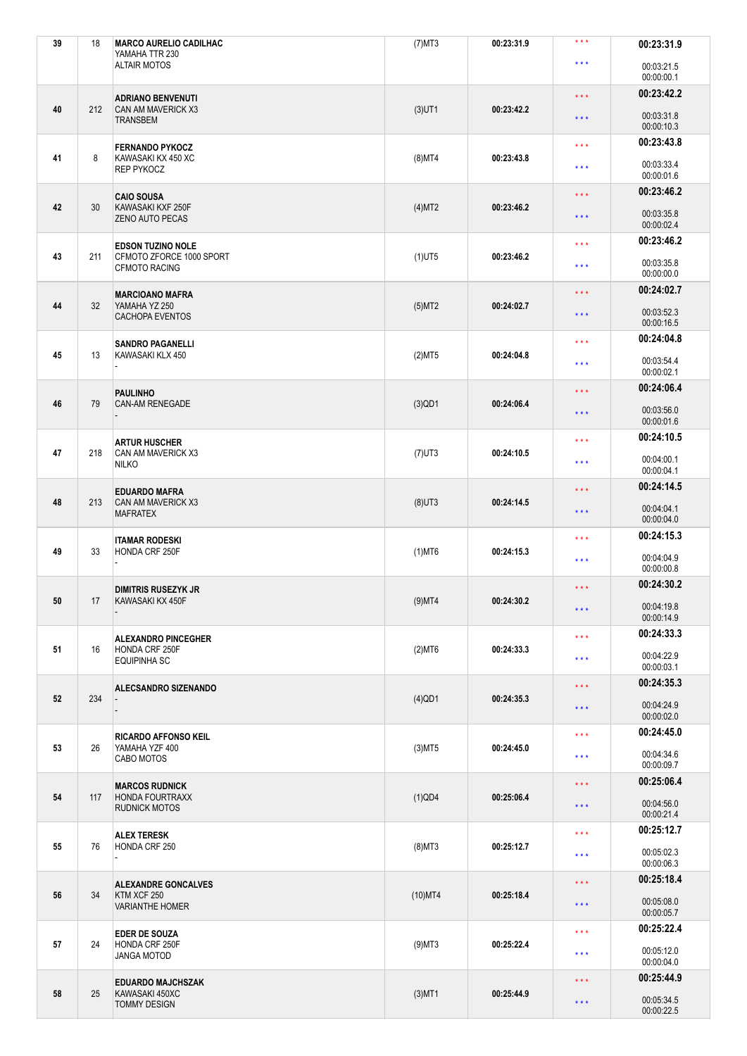| 39 | 18  | <b>MARCO AURELIO CADILHAC</b><br>YAMAHA TTR 230  | $(7)$ MT3  | 00:23:31.9 | $***$                   | 00:23:31.9               |
|----|-----|--------------------------------------------------|------------|------------|-------------------------|--------------------------|
|    |     | <b>ALTAIR MOTOS</b>                              |            |            | $\star \star \star$     | 00:03:21.5<br>00:00:00.1 |
|    |     | <b>ADRIANO BENVENUTI</b>                         |            |            | $\star$ $\star$ $\star$ | 00:23:42.2               |
| 40 | 212 | <b>CAN AM MAVERICK X3</b><br><b>TRANSBEM</b>     | $(3)$ UT1  | 00:23:42.2 | $\star\star\star$       | 00:03:31.8<br>00:00:10.3 |
|    |     | <b>FERNANDO PYKOCZ</b>                           |            |            | $***$                   | 00:23:43.8               |
| 41 | 8   | KAWASAKI KX 450 XC<br><b>REP PYKOCZ</b>          | $(8)$ MT4  | 00:23:43.8 | $***$                   | 00:03:33.4<br>00:00:01.6 |
|    |     | <b>CAIO SOUSA</b>                                |            |            | $\star \star \star$     | 00:23:46.2               |
| 42 | 30  | KAWASAKI KXF 250F<br><b>ZENO AUTO PECAS</b>      | (4)MT2     | 00:23:46.2 | $***$                   | 00:03:35.8<br>00:00:02.4 |
|    |     | <b>EDSON TUZINO NOLE</b>                         |            |            | $\star \star \star$     | 00:23:46.2               |
| 43 | 211 | CFMOTO ZFORCE 1000 SPORT<br><b>CFMOTO RACING</b> | $(1)$ UT5  | 00:23:46.2 | $\star \star \star$     | 00:03:35.8<br>00:00:00.0 |
|    |     | <b>MARCIOANO MAFRA</b>                           |            |            | $\star$ $\star$ $\star$ | 00:24:02.7               |
| 44 | 32  | YAMAHA YZ 250<br><b>CACHOPA EVENTOS</b>          | $(5)$ MT2  | 00:24:02.7 | $\star$ $\star$ $\star$ | 00:03:52.3<br>00:00:16.5 |
| 45 | 13  | <b>SANDRO PAGANELLI</b><br>KAWASAKI KLX 450      |            | 00:24:04.8 | $***$                   | 00:24:04.8               |
|    |     |                                                  | (2)MT5     |            | $\star \star \star$     | 00:03:54.4<br>00:00:02.1 |
|    |     | <b>PAULINHO</b>                                  |            |            | $\star \star \star$     | 00:24:06.4               |
| 46 | 79  | <b>CAN-AM RENEGADE</b>                           | $(3)$ QD1  | 00:24:06.4 | $***$                   | 00:03:56.0<br>00:00:01.6 |
|    |     | <b>ARTUR HUSCHER</b>                             |            |            | $***$                   | 00:24:10.5               |
| 47 | 218 | CAN AM MAVERICK X3<br><b>NILKO</b>               | $(7)$ UT3  | 00:24:10.5 | $\star \star \star$     | 00:04:00.1<br>00:00:04.1 |
|    |     | <b>EDUARDO MAFRA</b>                             |            |            | $\star$ $\star$ $\star$ | 00:24:14.5               |
| 48 | 213 | CAN AM MAVERICK X3<br><b>MAFRATEX</b>            | $(8)$ UT3  | 00:24:14.5 | $\star \star \star$     | 00:04:04.1<br>00:00:04.0 |
|    |     | <b>ITAMAR RODESKI</b>                            |            |            | $* * *$                 | 00:24:15.3               |
| 49 | 33  | HONDA CRF 250F                                   | $(1)$ MT6  | 00:24:15.3 | $\star \star \star$     | 00:04:04.9<br>00:00:00.8 |
|    |     | <b>DIMITRIS RUSEZYK JR</b>                       |            |            | $\star$ $\star$ $\star$ | 00:24:30.2               |
| 50 | 17  | KAWASAKI KX 450F                                 | $(9)$ MT4  | 00:24:30.2 | $\star$ $\star$ $\star$ | 00:04:19.8<br>00:00:14.9 |
|    |     | <b>ALEXANDRO PINCEGHER</b>                       |            | 00:24:33.3 | $\star$ $\star$ $\star$ | 00:24:33.3               |
| 51 | 16  | HONDA CRF 250F<br><b>EQUIPINHA SC</b>            | $(2)$ MT6  |            | $\star \star \star$     | 00:04:22.9<br>00:00:03.1 |
|    |     | <b>ALECSANDRO SIZENANDO</b>                      |            |            | $\star$ $\star$ $\star$ | 00:24:35.3               |
| 52 | 234 |                                                  | $(4)$ QD1  | 00:24:35.3 | $\star$ $\star$ $\star$ | 00:04:24.9               |
|    |     |                                                  |            |            |                         | 00:00:02.0               |
| 53 | 26  | <b>RICARDO AFFONSO KEIL</b><br>YAMAHA YZF 400    | $(3)$ MT5  | 00:24:45.0 | $\star \star \star$     | 00:24:45.0               |
|    |     | CABO MOTOS                                       |            |            | $\star\star\star$       | 00:04:34.6<br>00:00:09.7 |
|    |     | <b>MARCOS RUDNICK</b>                            |            |            | $\star$ $\star$ $\star$ | 00:25:06.4               |
| 54 | 117 | <b>HONDA FOURTRAXX</b><br><b>RUDNICK MOTOS</b>   | $(1)$ QD4  | 00:25:06.4 | $***$                   | 00:04:56.0<br>00:00:21.4 |
|    |     | <b>ALEX TERESK</b>                               |            |            | $\star \star \star$     | 00:25:12.7               |
| 55 | 76  | HONDA CRF 250                                    | $(8)$ MT3  | 00:25:12.7 | $***$                   | 00:05:02.3<br>00:00:06.3 |
|    |     | <b>ALEXANDRE GONCALVES</b>                       |            |            | $\star$ $\star$ $\star$ | 00:25:18.4               |
| 56 | 34  | KTM XCF 250<br><b>VARIANTHE HOMER</b>            | $(10)$ MT4 | 00:25:18.4 | $\star$ $\star$ $\star$ | 00:05:08.0<br>00:00:05.7 |
|    |     | <b>EDER DE SOUZA</b>                             |            |            | $\star \star \star$     | 00:25:22.4               |
| 57 | 24  | HONDA CRF 250F<br>JANGA MOTOD                    | $(9)$ MT3  | 00:25:22.4 | $\star \star \star$     | 00:05:12.0<br>00:00:04.0 |
|    |     | <b>EDUARDO MAJCHSZAK</b>                         |            |            | $\star$ $\star$ $\star$ | 00:25:44.9               |
| 58 | 25  | KAWASAKI 450XC<br><b>TOMMY DESIGN</b>            | $(3)$ MT1  | 00:25:44.9 | $\star$ $\star$ $\star$ | 00:05:34.5<br>00:00:22.5 |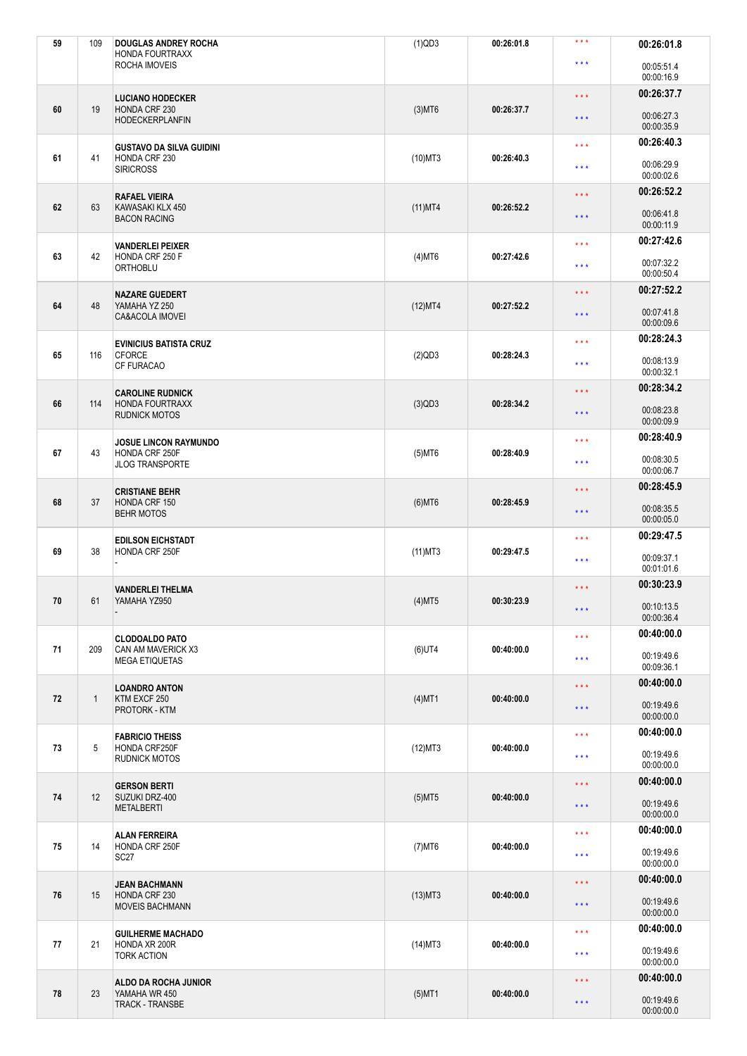| 59 | 109          | <b>DOUGLAS ANDREY ROCHA</b><br><b>HONDA FOURTRAXX</b> | $(1)$ QD3  | 00:26:01.8 | $***$                   | 00:26:01.8               |
|----|--------------|-------------------------------------------------------|------------|------------|-------------------------|--------------------------|
|    |              | ROCHA IMOVEIS                                         |            |            | $\star \star \star$     | 00:05:51.4<br>00:00:16.9 |
|    |              | <b>LUCIANO HODECKER</b>                               |            |            | $\star \star \star$     | 00:26:37.7               |
| 60 | 19           | HONDA CRF 230<br><b>HODECKERPLANFIN</b>               | $(3)$ MT6  | 00:26:37.7 | $\star$ $\star$ $\star$ | 00:06:27.3<br>00:00:35.9 |
|    |              | <b>GUSTAVO DA SILVA GUIDINI</b>                       |            |            | $\star \star \star$     | 00:26:40.3               |
| 61 | 41           | HONDA CRF 230<br><b>SIRICROSS</b>                     | $(10)$ MT3 | 00:26:40.3 | $***$                   | 00:06:29.9<br>00:00:02.6 |
|    |              | <b>RAFAEL VIEIRA</b>                                  |            |            | $***$                   | 00:26:52.2               |
| 62 | 63           | KAWASAKI KLX 450<br><b>BACON RACING</b>               | $(11)$ MT4 | 00:26:52.2 | $\star\star\star$       | 00:06:41.8<br>00:00:11.9 |
|    |              | <b>VANDERLEI PEIXER</b>                               |            |            | $\star$ $\star$ $\star$ | 00:27:42.6               |
| 63 | 42           | HONDA CRF 250 F<br><b>ORTHOBLU</b>                    | $(4)$ MT6  | 00:27:42.6 | $\star \star \star$     | 00:07:32.2<br>00:00:50.4 |
|    |              | <b>NAZARE GUEDERT</b>                                 |            |            | $\star \star \star$     | 00:27:52.2               |
| 64 | 48           | YAMAHA YZ 250<br>CA&ACOLA IMOVEI                      | (12)MT4    | 00:27:52.2 | $\star \star \star$     | 00:07:41.8<br>00:00:09.6 |
|    |              | <b>EVINICIUS BATISTA CRUZ</b>                         |            |            | $\star \star \star$     | 00:28:24.3               |
| 65 | 116          | <b>CFORCE</b><br><b>CF FURACAO</b>                    | $(2)$ QD3  | 00:28:24.3 | $\star \star \star$     | 00:08:13.9<br>00:00:32.1 |
|    |              | <b>CAROLINE RUDNICK</b>                               |            |            | $\star\star\star$       | 00:28:34.2               |
| 66 | 114          | <b>HONDA FOURTRAXX</b><br><b>RUDNICK MOTOS</b>        | $(3)$ QD3  | 00:28:34.2 | $\star$ $\star$ $\star$ | 00:08:23.8<br>00:00:09.9 |
|    |              | <b>JOSUE LINCON RAYMUNDO</b>                          |            |            | $\star \star \star$     | 00:28:40.9               |
| 67 | 43           | HONDA CRF 250F<br><b>JLOG TRANSPORTE</b>              | $(5)$ MT6  | 00:28:40.9 | $\star \star \star$     | 00:08:30.5<br>00:00:06.7 |
|    |              | <b>CRISTIANE BEHR</b>                                 |            |            | $\star \star \star$     | 00:28:45.9               |
| 68 | 37           | HONDA CRF 150<br><b>BEHR MOTOS</b>                    | $(6)$ MT6  | 00:28:45.9 | $\star\star\star$       | 00:08:35.5<br>00:00:05.0 |
|    |              | <b>EDILSON EICHSTADT</b>                              |            |            | $***$                   | 00:29:47.5               |
| 69 | 38           | HONDA CRF 250F                                        | $(11)$ MT3 | 00:29:47.5 | $\star \star \star$     | 00:09:37.1<br>00:01:01.6 |
|    |              | <b>VANDERLEI THELMA</b>                               |            |            | $\star\star\star$       | 00:30:23.9               |
| 70 | 61           | YAMAHA YZ950                                          | $(4)$ MT5  | 00:30:23.9 | $\star$ $\star$ $\star$ | 00:10:13.5<br>00:00:36.4 |
|    |              | <b>CLODOALDO PATO</b>                                 |            |            | $\star$ $\star$ $\star$ | 00:40:00.0               |
| 71 | 209          | CAN AM MAVERICK X3<br><b>MEGA ETIQUETAS</b>           | $(6)$ UT4  | 00:40:00.0 | $\star \star \star$     | 00:19:49.6<br>00:09:36.1 |
|    |              | <b>LOANDRO ANTON</b>                                  |            |            | $\star\star\star$       | 00:40:00.0               |
| 72 | $\mathbf{1}$ | KTM EXCF 250<br>PROTORK - KTM                         | $(4)$ MT1  | 00:40:00.0 | $\star\star\star$       | 00:19:49.6<br>00:00:00.0 |
|    |              | <b>FABRICIO THEISS</b>                                |            |            | $\star \star \star$     | 00:40:00.0               |
| 73 | 5            | HONDA CRF250F<br><b>RUDNICK MOTOS</b>                 | (12)MT3    | 00:40:00.0 | $***$                   | 00:19:49.6<br>00:00:00.0 |
|    |              | <b>GERSON BERTI</b>                                   |            |            | $\star \star \star$     | 00:40:00.0               |
| 74 | 12           | SUZUKI DRZ-400<br><b>METALBERTI</b>                   | $(5)$ MT5  | 00:40:00.0 | $\star\star\star$       | 00:19:49.6<br>00:00:00.0 |
|    |              | <b>ALAN FERREIRA</b>                                  |            |            | $\star \star \star$     | 00:40:00.0               |
| 75 | 14           | HONDA CRF 250F<br>SC <sub>27</sub>                    | $(7)$ MT6  | 00:40:00.0 | * * *                   | 00:19:49.6<br>00:00:00.0 |
|    |              | <b>JEAN BACHMANN</b>                                  |            |            | $\star \star \star$     | 00:40:00.0               |
| 76 | 15           | HONDA CRF 230<br><b>MOVEIS BACHMANN</b>               | $(13)$ MT3 | 00:40:00.0 | $\star \star \star$     | 00:19:49.6<br>00:00:00.0 |
|    |              | <b>GUILHERME MACHADO</b>                              |            |            | $\star\star\star$       | 00:40:00.0               |
| 77 | 21           | HONDA XR 200R<br><b>TORK ACTION</b>                   | $(14)$ MT3 | 00:40:00.0 | $\star \star \star$     | 00:19:49.6<br>00:00:00.0 |
|    |              | ALDO DA ROCHA JUNIOR                                  |            |            | $\star\star\star$       | 00:40:00.0               |
| 78 | 23           | YAMAHA WR 450<br><b>TRACK - TRANSBE</b>               | $(5)$ MT1  | 00:40:00.0 | $\star\star\star$       | 00:19:49.6<br>00:00:00.0 |